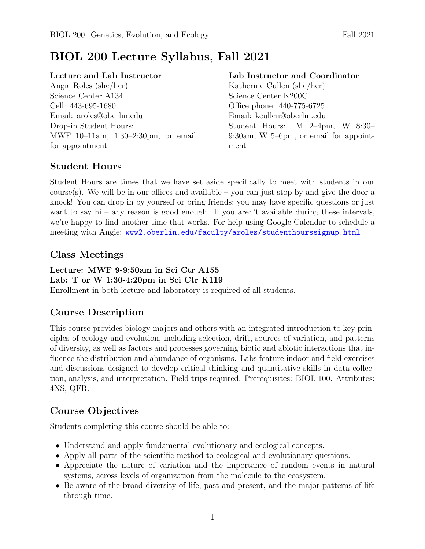# BIOL 200 Lecture Syllabus, Fall 2021

### Lecture and Lab Instructor

Angie Roles (she/her) Science Center A134 Cell: 443-695-1680 Email: aroles@oberlin.edu Drop-in Student Hours: MWF 10–11am, 1:30–2:30pm, or email for appointment

### Lab Instructor and Coordinator

Katherine Cullen (she/her) Science Center K200C Office phone: 440-775-6725 Email: kcullen@oberlin.edu Student Hours: M 2–4pm, W 8:30– 9:30am, W 5–6pm, or email for appointment

## Student Hours

Student Hours are times that we have set aside specifically to meet with students in our course(s). We will be in our offices and available – you can just stop by and give the door a knock! You can drop in by yourself or bring friends; you may have specific questions or just want to say hi – any reason is good enough. If you aren't available during these intervals, we're happy to find another time that works. For help using Google Calendar to schedule a meeting with Angie: <www2.oberlin.edu/faculty/aroles/studenthourssignup.html>

## Class Meetings

Lecture: MWF 9-9:50am in Sci Ctr A155 Lab: T or W 1:30-4:20pm in Sci Ctr K119 Enrollment in both lecture and laboratory is required of all students.

## Course Description

This course provides biology majors and others with an integrated introduction to key principles of ecology and evolution, including selection, drift, sources of variation, and patterns of diversity, as well as factors and processes governing biotic and abiotic interactions that influence the distribution and abundance of organisms. Labs feature indoor and field exercises and discussions designed to develop critical thinking and quantitative skills in data collection, analysis, and interpretation. Field trips required. Prerequisites: BIOL 100. Attributes: 4NS, QFR.

## Course Objectives

Students completing this course should be able to:

- Understand and apply fundamental evolutionary and ecological concepts.
- Apply all parts of the scientific method to ecological and evolutionary questions.
- Appreciate the nature of variation and the importance of random events in natural systems, across levels of organization from the molecule to the ecosystem.
- Be aware of the broad diversity of life, past and present, and the major patterns of life through time.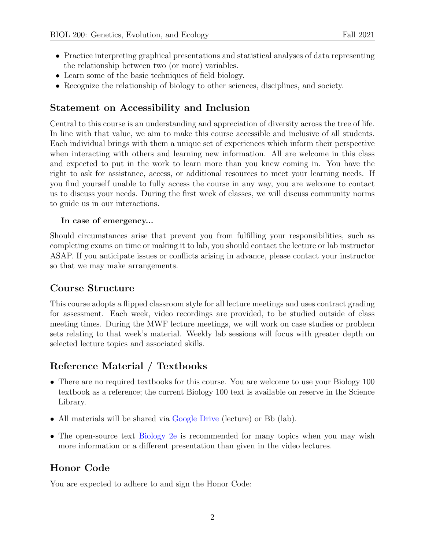- Practice interpreting graphical presentations and statistical analyses of data representing the relationship between two (or more) variables.
- Learn some of the basic techniques of field biology.
- Recognize the relationship of biology to other sciences, disciplines, and society.

### Statement on Accessibility and Inclusion

Central to this course is an understanding and appreciation of diversity across the tree of life. In line with that value, we aim to make this course accessible and inclusive of all students. Each individual brings with them a unique set of experiences which inform their perspective when interacting with others and learning new information. All are welcome in this class and expected to put in the work to learn more than you knew coming in. You have the right to ask for assistance, access, or additional resources to meet your learning needs. If you find yourself unable to fully access the course in any way, you are welcome to contact us to discuss your needs. During the first week of classes, we will discuss community norms to guide us in our interactions.

#### In case of emergency...

Should circumstances arise that prevent you from fulfilling your responsibilities, such as completing exams on time or making it to lab, you should contact the lecture or lab instructor ASAP. If you anticipate issues or conflicts arising in advance, please contact your instructor so that we may make arrangements.

### Course Structure

This course adopts a flipped classroom style for all lecture meetings and uses contract grading for assessment. Each week, video recordings are provided, to be studied outside of class meeting times. During the MWF lecture meetings, we will work on case studies or problem sets relating to that week's material. Weekly lab sessions will focus with greater depth on selected lecture topics and associated skills.

## Reference Material / Textbooks

- There are no required textbooks for this course. You are welcome to use your Biology 100 textbook as a reference; the current Biology 100 text is available on reserve in the Science Library.
- All materials will be shared via [Google Drive](https://drive.google.com/drive/folders/1Bzq3MDSbHC2vU0Kfw21LAVRKSt_865bn?usp=sharing) (lecture) or Bb (lab).
- The open-source text [Biology 2e](https://openstax.org/details/books/biology-2e) is recommended for many topics when you may wish more information or a different presentation than given in the video lectures.

## Honor Code

You are expected to adhere to and sign the Honor Code: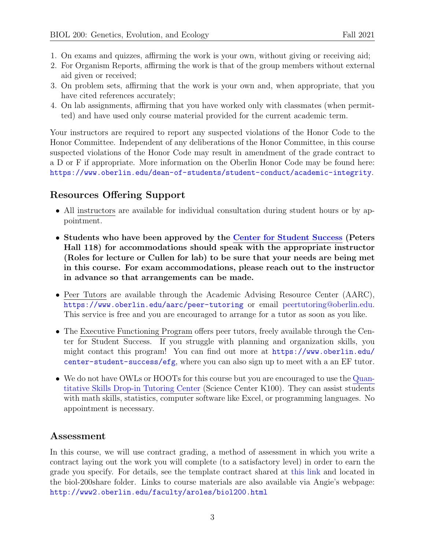- 1. On exams and quizzes, affirming the work is your own, without giving or receiving aid;
- 2. For Organism Reports, affirming the work is that of the group members without external aid given or received;
- 3. On problem sets, affirming that the work is your own and, when appropriate, that you have cited references accurately;
- 4. On lab assignments, affirming that you have worked only with classmates (when permitted) and have used only course material provided for the current academic term.

Your instructors are required to report any suspected violations of the Honor Code to the Honor Committee. Independent of any deliberations of the Honor Committee, in this course suspected violations of the Honor Code may result in amendment of the grade contract to a D or F if appropriate. More information on the Oberlin Honor Code may be found here: <https://www.oberlin.edu/dean-of-students/student-conduct/academic-integrity>.

### Resources Offering Support

- All instructors are available for individual consultation during student hours or by appointment.
- Students who have been approved by the Center for [Student](https://new.oberlin.edu/office/student-academic-services/) Success (Peters Hall 118) for accommodations should speak with the appropriate instructor (Roles for lecture or Cullen for lab) to be sure that your needs are being met in this course. For exam accommodations, please reach out to the instructor in advance so that arrangements can be made.
- Peer Tutors are available through the Academic Advising Resource Center (AARC), <https://www.oberlin.edu/aarc/peer-tutoring> or email [peertutoring@oberlin.edu.](mailto:peertutoring@oberlin.edu) This service is free and you are encouraged to arrange for a tutor as soon as you like.
- The Executive Functioning Program offers peer tutors, freely available through the Center for Student Success. If you struggle with planning and organization skills, you might contact this program! You can find out more at [https://www.oberlin.edu/](https://www.oberlin.edu/center-student-success/efg) [center-student-success/efg](https://www.oberlin.edu/center-student-success/efg), where you can also sign up to meet with a an EF tutor.
- We do not have OWLs or HOOTs for this course but you are encouraged to use the [Quan](https://www.oberlin.edu/clear/tutoring)titative Skills Drop-in [Tutoring](https://www.oberlin.edu/clear/tutoring) Center (Science Center K100). They can assist students with math skills, statistics, computer software like Excel, or programming languages. No appointment is necessary.

### Assessment

In this course, we will use contract grading, a method of assessment in which you write a contract laying out the work you will complete (to a satisfactory level) in order to earn the grade you specify. For details, see the template contract shared at [this link](https://docs.google.com/document/d/1MYg2Ss2zcIKKhD1Aozh3OAEzOLuaj_MWZ-V_RU_N9Xo/edit?usp=sharing) and located in the biol-200share folder. Links to course materials are also available via Angie's webpage: <http://www2.oberlin.edu/faculty/aroles/biol200.html>